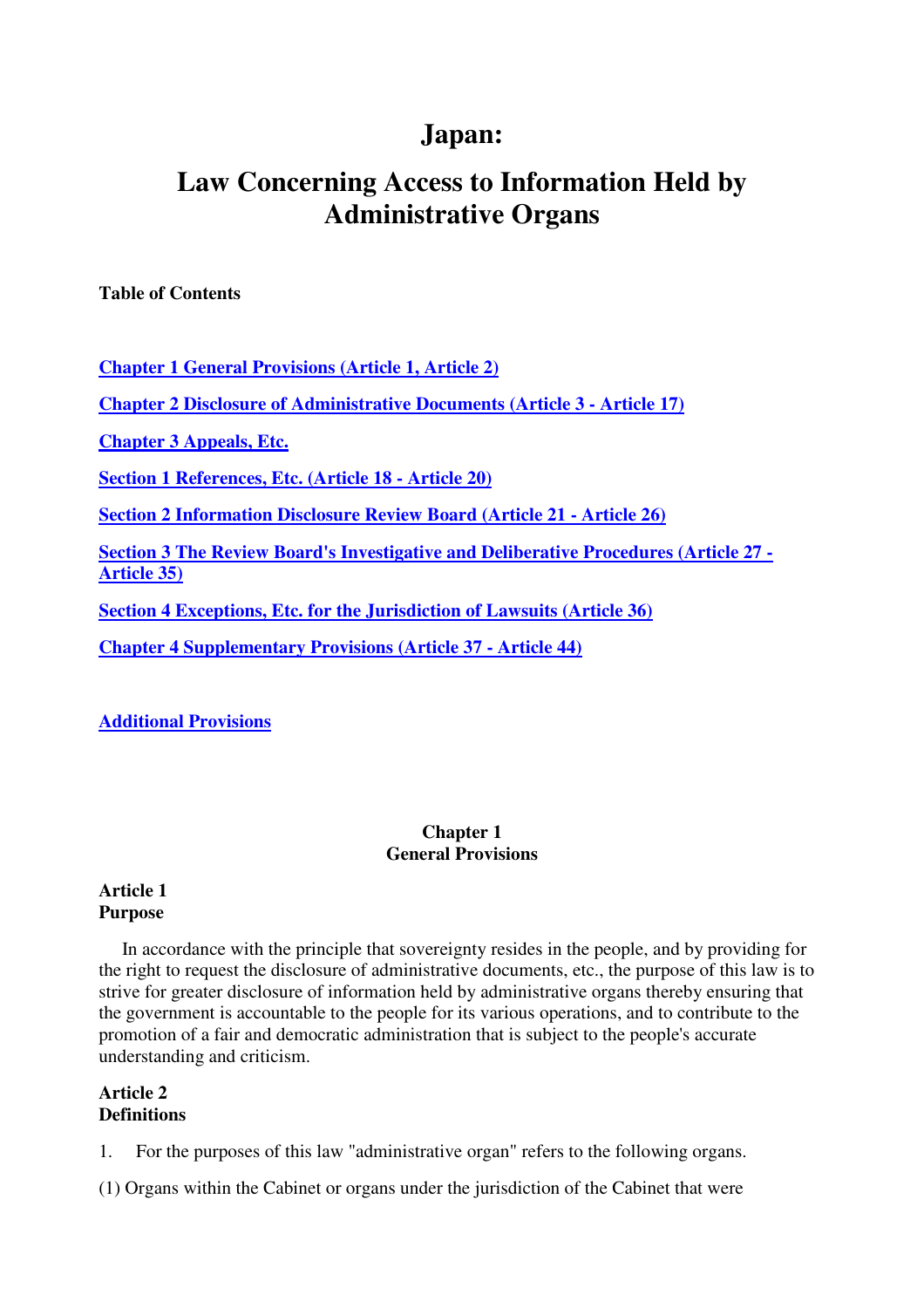# **Japan:**

# **Law Concerning Access to Information Held by Administrative Organs**

**Table of Contents** 

**Chapter 1 General Provisions (Article 1, Article 2)**

**Chapter 2 Disclosure of Administrative Documents (Article 3 - Article 17)** 

**Chapter 3 Appeals, Etc.** 

**Section 1 References, Etc. (Article 18 - Article 20)** 

**Section 2 Information Disclosure Review Board (Article 21 - Article 26)** 

**Section 3 The Review Board's Investigative and Deliberative Procedures (Article 27 - Article 35)** 

**Section 4 Exceptions, Etc. for the Jurisdiction of Lawsuits (Article 36)** 

**Chapter 4 Supplementary Provisions (Article 37 - Article 44)** 

**Additional Provisions** 

#### **Chapter 1 General Provisions**

#### **Article 1 Purpose**

 In accordance with the principle that sovereignty resides in the people, and by providing for the right to request the disclosure of administrative documents, etc., the purpose of this law is to strive for greater disclosure of information held by administrative organs thereby ensuring that the government is accountable to the people for its various operations, and to contribute to the promotion of a fair and democratic administration that is subject to the people's accurate understanding and criticism.

# **Article 2 Definitions**

1. For the purposes of this law "administrative organ" refers to the following organs.

(1) Organs within the Cabinet or organs under the jurisdiction of the Cabinet that were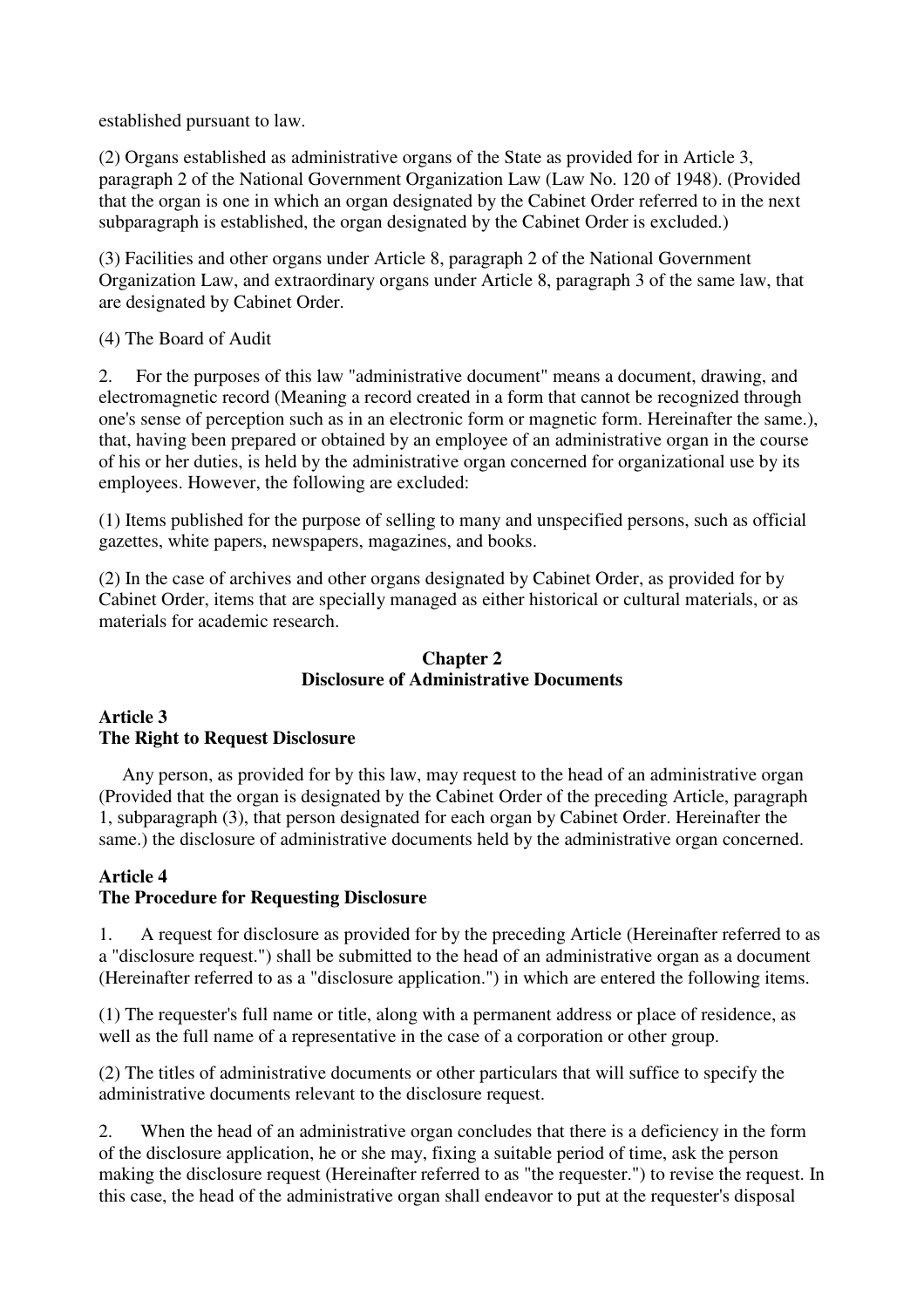established pursuant to law.

(2) Organs established as administrative organs of the State as provided for in Article 3, paragraph 2 of the National Government Organization Law (Law No. 120 of 1948). (Provided that the organ is one in which an organ designated by the Cabinet Order referred to in the next subparagraph is established, the organ designated by the Cabinet Order is excluded.)

(3) Facilities and other organs under Article 8, paragraph 2 of the National Government Organization Law, and extraordinary organs under Article 8, paragraph 3 of the same law, that are designated by Cabinet Order.

(4) The Board of Audit

2. For the purposes of this law "administrative document" means a document, drawing, and electromagnetic record (Meaning a record created in a form that cannot be recognized through one's sense of perception such as in an electronic form or magnetic form. Hereinafter the same.), that, having been prepared or obtained by an employee of an administrative organ in the course of his or her duties, is held by the administrative organ concerned for organizational use by its employees. However, the following are excluded:

(1) Items published for the purpose of selling to many and unspecified persons, such as official gazettes, white papers, newspapers, magazines, and books.

(2) In the case of archives and other organs designated by Cabinet Order, as provided for by Cabinet Order, items that are specially managed as either historical or cultural materials, or as materials for academic research.

#### **Chapter 2 Disclosure of Administrative Documents**

#### **Article 3 The Right to Request Disclosure**

 Any person, as provided for by this law, may request to the head of an administrative organ (Provided that the organ is designated by the Cabinet Order of the preceding Article, paragraph 1, subparagraph (3), that person designated for each organ by Cabinet Order. Hereinafter the same.) the disclosure of administrative documents held by the administrative organ concerned.

#### **Article 4 The Procedure for Requesting Disclosure**

1. A request for disclosure as provided for by the preceding Article (Hereinafter referred to as a "disclosure request.") shall be submitted to the head of an administrative organ as a document (Hereinafter referred to as a "disclosure application.") in which are entered the following items.

(1) The requester's full name or title, along with a permanent address or place of residence, as well as the full name of a representative in the case of a corporation or other group.

(2) The titles of administrative documents or other particulars that will suffice to specify the administrative documents relevant to the disclosure request.

2. When the head of an administrative organ concludes that there is a deficiency in the form of the disclosure application, he or she may, fixing a suitable period of time, ask the person making the disclosure request (Hereinafter referred to as "the requester.") to revise the request. In this case, the head of the administrative organ shall endeavor to put at the requester's disposal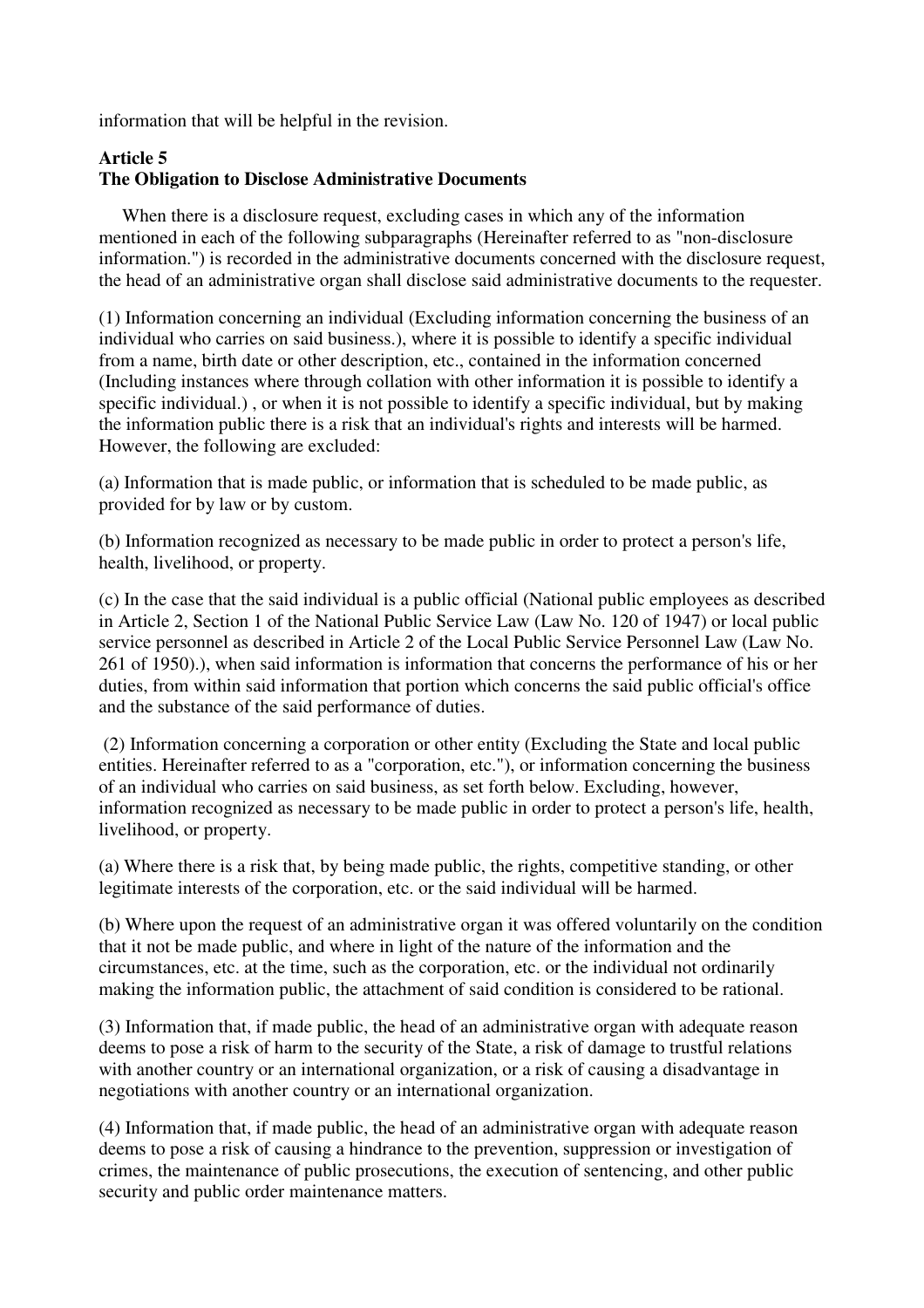information that will be helpful in the revision.

#### **Article 5 The Obligation to Disclose Administrative Documents**

 When there is a disclosure request, excluding cases in which any of the information mentioned in each of the following subparagraphs (Hereinafter referred to as "non-disclosure information.") is recorded in the administrative documents concerned with the disclosure request, the head of an administrative organ shall disclose said administrative documents to the requester.

(1) Information concerning an individual (Excluding information concerning the business of an individual who carries on said business.), where it is possible to identify a specific individual from a name, birth date or other description, etc., contained in the information concerned (Including instances where through collation with other information it is possible to identify a specific individual.) , or when it is not possible to identify a specific individual, but by making the information public there is a risk that an individual's rights and interests will be harmed. However, the following are excluded:

(a) Information that is made public, or information that is scheduled to be made public, as provided for by law or by custom.

(b) Information recognized as necessary to be made public in order to protect a person's life, health, livelihood, or property.

(c) In the case that the said individual is a public official (National public employees as described in Article 2, Section 1 of the National Public Service Law (Law No. 120 of 1947) or local public service personnel as described in Article 2 of the Local Public Service Personnel Law (Law No. 261 of 1950).), when said information is information that concerns the performance of his or her duties, from within said information that portion which concerns the said public official's office and the substance of the said performance of duties.

 (2) Information concerning a corporation or other entity (Excluding the State and local public entities. Hereinafter referred to as a "corporation, etc."), or information concerning the business of an individual who carries on said business, as set forth below. Excluding, however, information recognized as necessary to be made public in order to protect a person's life, health, livelihood, or property.

(a) Where there is a risk that, by being made public, the rights, competitive standing, or other legitimate interests of the corporation, etc. or the said individual will be harmed.

(b) Where upon the request of an administrative organ it was offered voluntarily on the condition that it not be made public, and where in light of the nature of the information and the circumstances, etc. at the time, such as the corporation, etc. or the individual not ordinarily making the information public, the attachment of said condition is considered to be rational.

(3) Information that, if made public, the head of an administrative organ with adequate reason deems to pose a risk of harm to the security of the State, a risk of damage to trustful relations with another country or an international organization, or a risk of causing a disadvantage in negotiations with another country or an international organization.

(4) Information that, if made public, the head of an administrative organ with adequate reason deems to pose a risk of causing a hindrance to the prevention, suppression or investigation of crimes, the maintenance of public prosecutions, the execution of sentencing, and other public security and public order maintenance matters.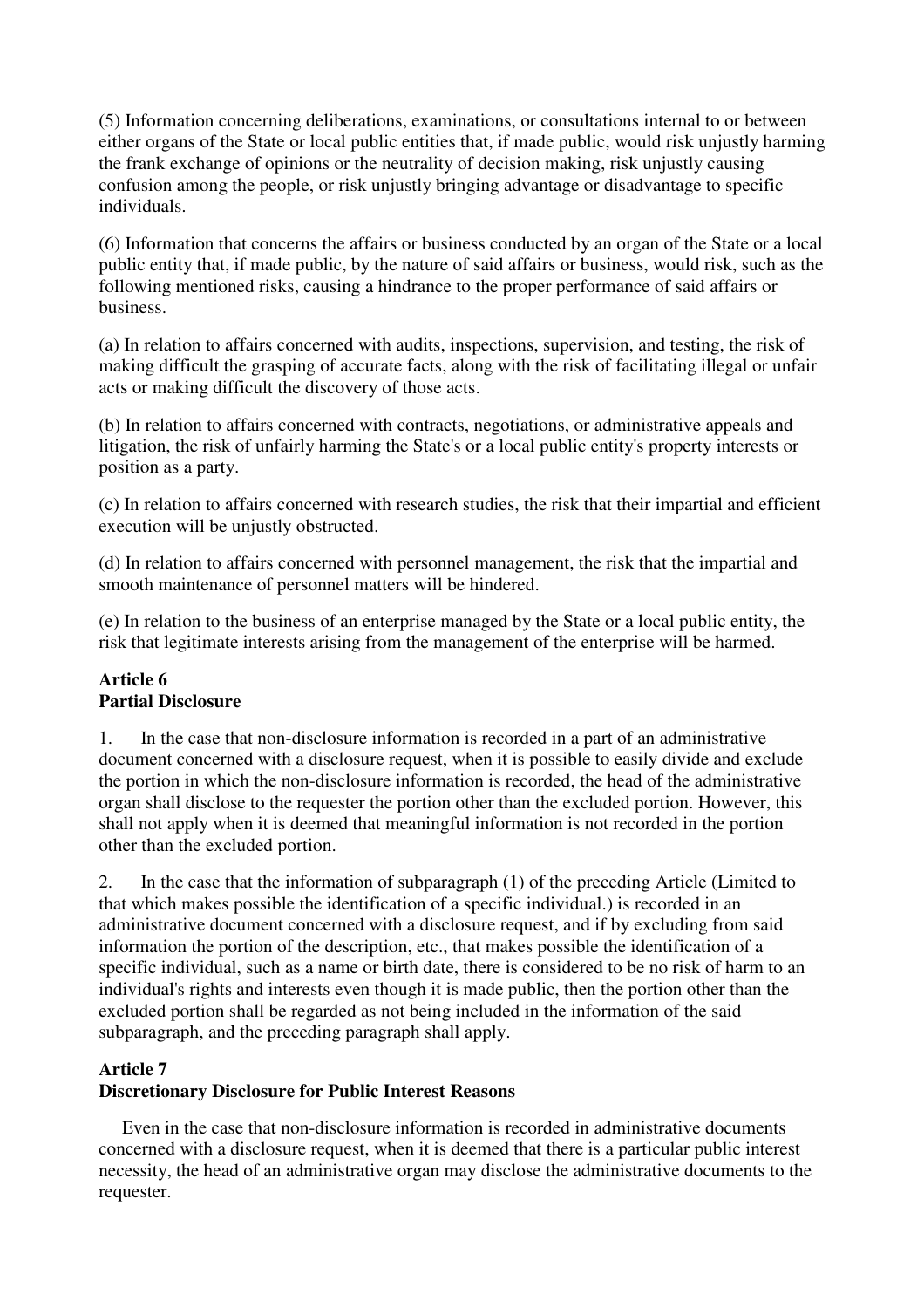(5) Information concerning deliberations, examinations, or consultations internal to or between either organs of the State or local public entities that, if made public, would risk unjustly harming the frank exchange of opinions or the neutrality of decision making, risk unjustly causing confusion among the people, or risk unjustly bringing advantage or disadvantage to specific individuals.

(6) Information that concerns the affairs or business conducted by an organ of the State or a local public entity that, if made public, by the nature of said affairs or business, would risk, such as the following mentioned risks, causing a hindrance to the proper performance of said affairs or business.

(a) In relation to affairs concerned with audits, inspections, supervision, and testing, the risk of making difficult the grasping of accurate facts, along with the risk of facilitating illegal or unfair acts or making difficult the discovery of those acts.

(b) In relation to affairs concerned with contracts, negotiations, or administrative appeals and litigation, the risk of unfairly harming the State's or a local public entity's property interests or position as a party.

(c) In relation to affairs concerned with research studies, the risk that their impartial and efficient execution will be unjustly obstructed.

(d) In relation to affairs concerned with personnel management, the risk that the impartial and smooth maintenance of personnel matters will be hindered.

(e) In relation to the business of an enterprise managed by the State or a local public entity, the risk that legitimate interests arising from the management of the enterprise will be harmed.

#### **Article 6 Partial Disclosure**

1. In the case that non-disclosure information is recorded in a part of an administrative document concerned with a disclosure request, when it is possible to easily divide and exclude the portion in which the non-disclosure information is recorded, the head of the administrative organ shall disclose to the requester the portion other than the excluded portion. However, this shall not apply when it is deemed that meaningful information is not recorded in the portion other than the excluded portion.

2. In the case that the information of subparagraph (1) of the preceding Article (Limited to that which makes possible the identification of a specific individual.) is recorded in an administrative document concerned with a disclosure request, and if by excluding from said information the portion of the description, etc., that makes possible the identification of a specific individual, such as a name or birth date, there is considered to be no risk of harm to an individual's rights and interests even though it is made public, then the portion other than the excluded portion shall be regarded as not being included in the information of the said subparagraph, and the preceding paragraph shall apply.

# **Article 7**

# **Discretionary Disclosure for Public Interest Reasons**

 Even in the case that non-disclosure information is recorded in administrative documents concerned with a disclosure request, when it is deemed that there is a particular public interest necessity, the head of an administrative organ may disclose the administrative documents to the requester.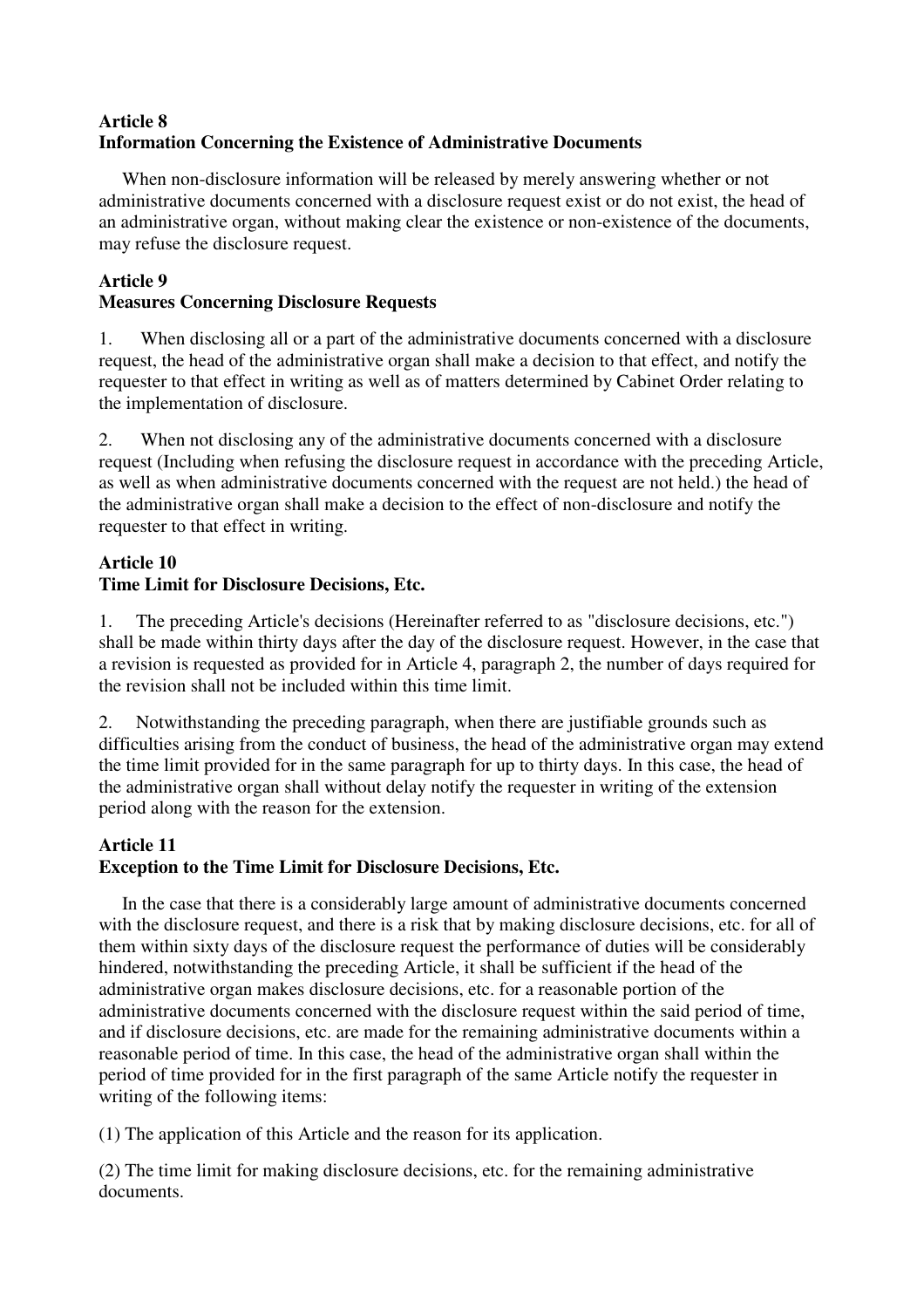# **Article 8 Information Concerning the Existence of Administrative Documents**

 When non-disclosure information will be released by merely answering whether or not administrative documents concerned with a disclosure request exist or do not exist, the head of an administrative organ, without making clear the existence or non-existence of the documents, may refuse the disclosure request.

# **Article 9**

# **Measures Concerning Disclosure Requests**

1. When disclosing all or a part of the administrative documents concerned with a disclosure request, the head of the administrative organ shall make a decision to that effect, and notify the requester to that effect in writing as well as of matters determined by Cabinet Order relating to the implementation of disclosure.

2. When not disclosing any of the administrative documents concerned with a disclosure request (Including when refusing the disclosure request in accordance with the preceding Article, as well as when administrative documents concerned with the request are not held.) the head of the administrative organ shall make a decision to the effect of non-disclosure and notify the requester to that effect in writing.

# **Article 10**

# **Time Limit for Disclosure Decisions, Etc.**

1. The preceding Article's decisions (Hereinafter referred to as "disclosure decisions, etc.") shall be made within thirty days after the day of the disclosure request. However, in the case that a revision is requested as provided for in Article 4, paragraph 2, the number of days required for the revision shall not be included within this time limit.

2. Notwithstanding the preceding paragraph, when there are justifiable grounds such as difficulties arising from the conduct of business, the head of the administrative organ may extend the time limit provided for in the same paragraph for up to thirty days. In this case, the head of the administrative organ shall without delay notify the requester in writing of the extension period along with the reason for the extension.

# **Article 11**

# **Exception to the Time Limit for Disclosure Decisions, Etc.**

 In the case that there is a considerably large amount of administrative documents concerned with the disclosure request, and there is a risk that by making disclosure decisions, etc. for all of them within sixty days of the disclosure request the performance of duties will be considerably hindered, notwithstanding the preceding Article, it shall be sufficient if the head of the administrative organ makes disclosure decisions, etc. for a reasonable portion of the administrative documents concerned with the disclosure request within the said period of time, and if disclosure decisions, etc. are made for the remaining administrative documents within a reasonable period of time. In this case, the head of the administrative organ shall within the period of time provided for in the first paragraph of the same Article notify the requester in writing of the following items:

(1) The application of this Article and the reason for its application.

(2) The time limit for making disclosure decisions, etc. for the remaining administrative documents.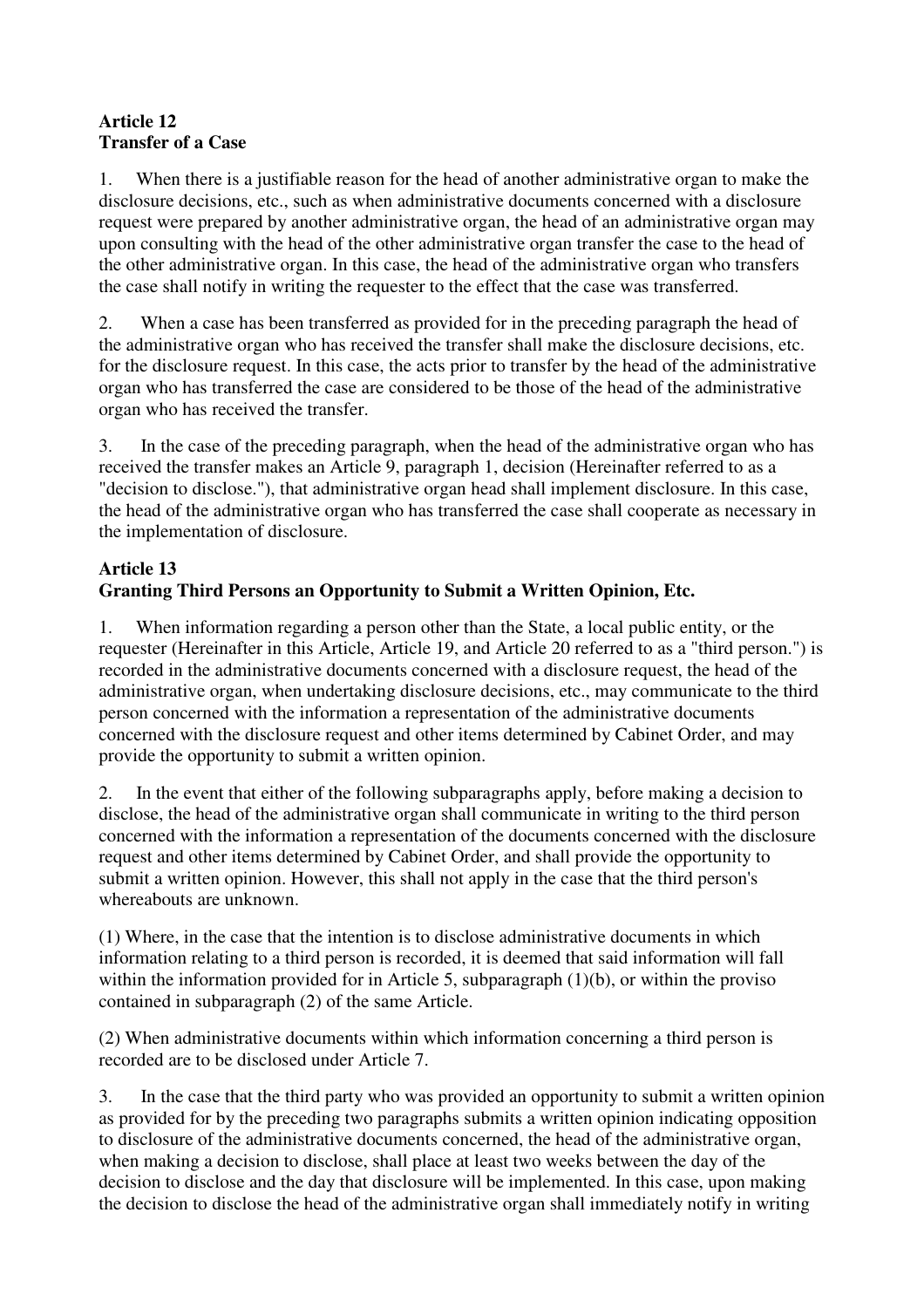# **Article 12 Transfer of a Case**

1. When there is a justifiable reason for the head of another administrative organ to make the disclosure decisions, etc., such as when administrative documents concerned with a disclosure request were prepared by another administrative organ, the head of an administrative organ may upon consulting with the head of the other administrative organ transfer the case to the head of the other administrative organ. In this case, the head of the administrative organ who transfers the case shall notify in writing the requester to the effect that the case was transferred.

2. When a case has been transferred as provided for in the preceding paragraph the head of the administrative organ who has received the transfer shall make the disclosure decisions, etc. for the disclosure request. In this case, the acts prior to transfer by the head of the administrative organ who has transferred the case are considered to be those of the head of the administrative organ who has received the transfer.

3. In the case of the preceding paragraph, when the head of the administrative organ who has received the transfer makes an Article 9, paragraph 1, decision (Hereinafter referred to as a "decision to disclose."), that administrative organ head shall implement disclosure. In this case, the head of the administrative organ who has transferred the case shall cooperate as necessary in the implementation of disclosure.

# **Article 13 Granting Third Persons an Opportunity to Submit a Written Opinion, Etc.**

1. When information regarding a person other than the State, a local public entity, or the requester (Hereinafter in this Article, Article 19, and Article 20 referred to as a "third person.") is recorded in the administrative documents concerned with a disclosure request, the head of the administrative organ, when undertaking disclosure decisions, etc., may communicate to the third person concerned with the information a representation of the administrative documents concerned with the disclosure request and other items determined by Cabinet Order, and may provide the opportunity to submit a written opinion.

2. In the event that either of the following subparagraphs apply, before making a decision to disclose, the head of the administrative organ shall communicate in writing to the third person concerned with the information a representation of the documents concerned with the disclosure request and other items determined by Cabinet Order, and shall provide the opportunity to submit a written opinion. However, this shall not apply in the case that the third person's whereabouts are unknown.

(1) Where, in the case that the intention is to disclose administrative documents in which information relating to a third person is recorded, it is deemed that said information will fall within the information provided for in Article 5, subparagraph (1)(b), or within the proviso contained in subparagraph (2) of the same Article.

(2) When administrative documents within which information concerning a third person is recorded are to be disclosed under Article 7.

3. In the case that the third party who was provided an opportunity to submit a written opinion as provided for by the preceding two paragraphs submits a written opinion indicating opposition to disclosure of the administrative documents concerned, the head of the administrative organ, when making a decision to disclose, shall place at least two weeks between the day of the decision to disclose and the day that disclosure will be implemented. In this case, upon making the decision to disclose the head of the administrative organ shall immediately notify in writing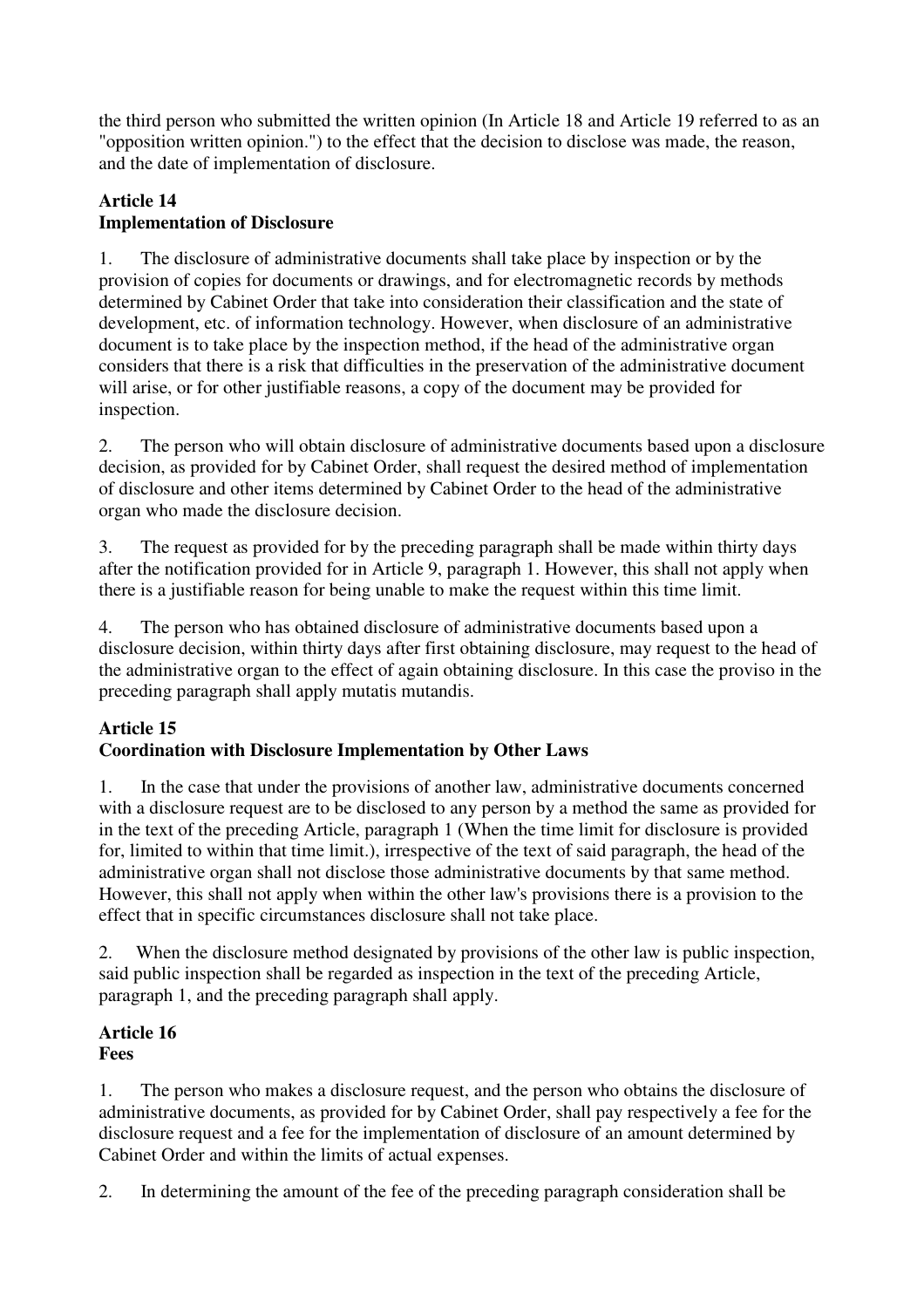the third person who submitted the written opinion (In Article 18 and Article 19 referred to as an "opposition written opinion.") to the effect that the decision to disclose was made, the reason, and the date of implementation of disclosure.

# **Article 14 Implementation of Disclosure**

1. The disclosure of administrative documents shall take place by inspection or by the provision of copies for documents or drawings, and for electromagnetic records by methods determined by Cabinet Order that take into consideration their classification and the state of development, etc. of information technology. However, when disclosure of an administrative document is to take place by the inspection method, if the head of the administrative organ considers that there is a risk that difficulties in the preservation of the administrative document will arise, or for other justifiable reasons, a copy of the document may be provided for inspection.

2. The person who will obtain disclosure of administrative documents based upon a disclosure decision, as provided for by Cabinet Order, shall request the desired method of implementation of disclosure and other items determined by Cabinet Order to the head of the administrative organ who made the disclosure decision.

3. The request as provided for by the preceding paragraph shall be made within thirty days after the notification provided for in Article 9, paragraph 1. However, this shall not apply when there is a justifiable reason for being unable to make the request within this time limit.

4. The person who has obtained disclosure of administrative documents based upon a disclosure decision, within thirty days after first obtaining disclosure, may request to the head of the administrative organ to the effect of again obtaining disclosure. In this case the proviso in the preceding paragraph shall apply mutatis mutandis.

# **Article 15 Coordination with Disclosure Implementation by Other Laws**

1. In the case that under the provisions of another law, administrative documents concerned with a disclosure request are to be disclosed to any person by a method the same as provided for in the text of the preceding Article, paragraph 1 (When the time limit for disclosure is provided for, limited to within that time limit.), irrespective of the text of said paragraph, the head of the administrative organ shall not disclose those administrative documents by that same method. However, this shall not apply when within the other law's provisions there is a provision to the effect that in specific circumstances disclosure shall not take place.

2. When the disclosure method designated by provisions of the other law is public inspection, said public inspection shall be regarded as inspection in the text of the preceding Article, paragraph 1, and the preceding paragraph shall apply.

# **Article 16 Fees**

1. The person who makes a disclosure request, and the person who obtains the disclosure of administrative documents, as provided for by Cabinet Order, shall pay respectively a fee for the disclosure request and a fee for the implementation of disclosure of an amount determined by Cabinet Order and within the limits of actual expenses.

2. In determining the amount of the fee of the preceding paragraph consideration shall be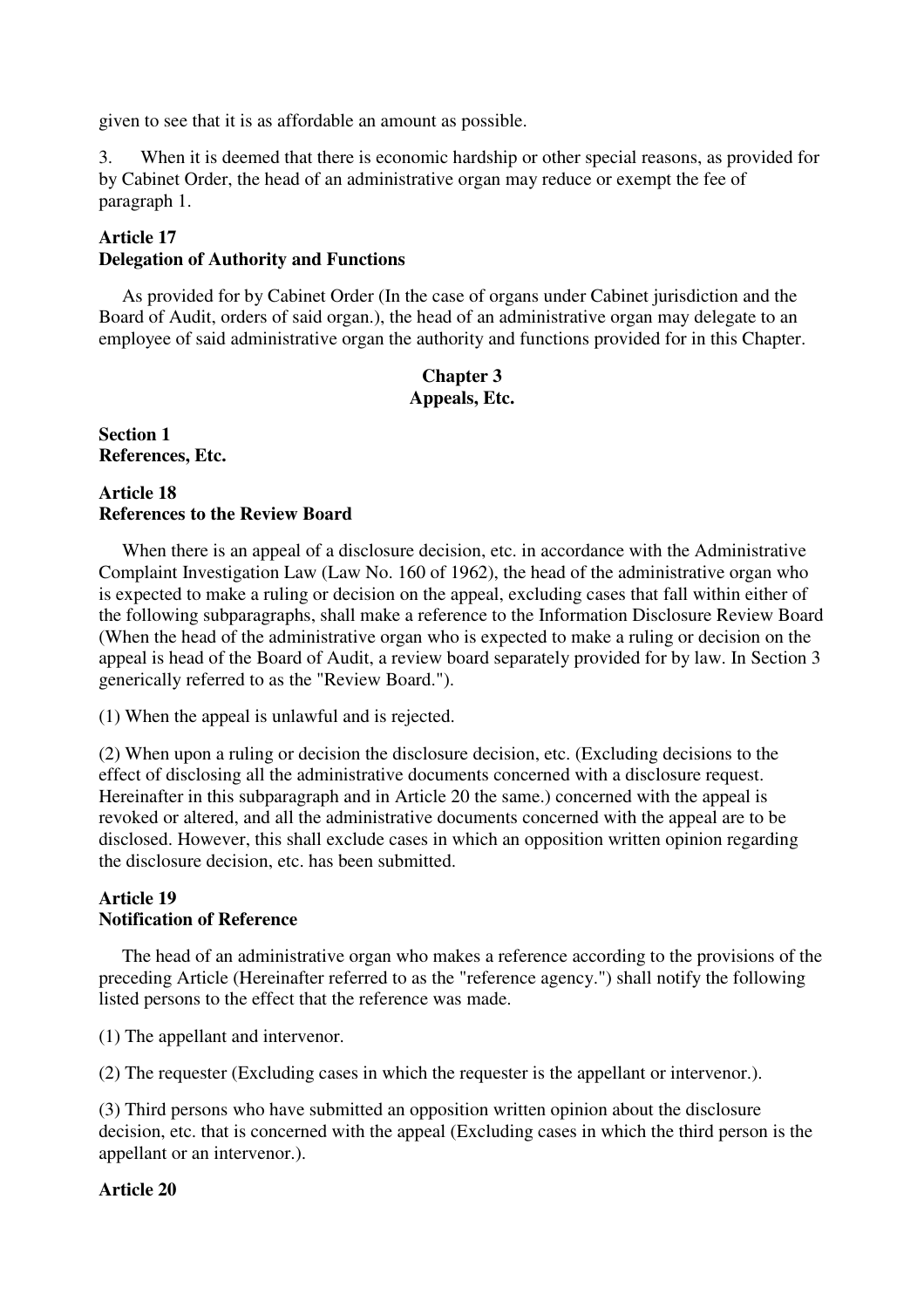given to see that it is as affordable an amount as possible.

3. When it is deemed that there is economic hardship or other special reasons, as provided for by Cabinet Order, the head of an administrative organ may reduce or exempt the fee of paragraph 1.

#### **Article 17**

#### **Delegation of Authority and Functions**

 As provided for by Cabinet Order (In the case of organs under Cabinet jurisdiction and the Board of Audit, orders of said organ.), the head of an administrative organ may delegate to an employee of said administrative organ the authority and functions provided for in this Chapter.

#### **Chapter 3 Appeals, Etc.**

**Section 1 References, Etc.** 

#### **Article 18 References to the Review Board**

When there is an appeal of a disclosure decision, etc. in accordance with the Administrative Complaint Investigation Law (Law No. 160 of 1962), the head of the administrative organ who is expected to make a ruling or decision on the appeal, excluding cases that fall within either of the following subparagraphs, shall make a reference to the Information Disclosure Review Board (When the head of the administrative organ who is expected to make a ruling or decision on the appeal is head of the Board of Audit, a review board separately provided for by law. In Section 3 generically referred to as the "Review Board.").

(1) When the appeal is unlawful and is rejected.

(2) When upon a ruling or decision the disclosure decision, etc. (Excluding decisions to the effect of disclosing all the administrative documents concerned with a disclosure request. Hereinafter in this subparagraph and in Article 20 the same.) concerned with the appeal is revoked or altered, and all the administrative documents concerned with the appeal are to be disclosed. However, this shall exclude cases in which an opposition written opinion regarding the disclosure decision, etc. has been submitted.

#### **Article 19 Notification of Reference**

 The head of an administrative organ who makes a reference according to the provisions of the preceding Article (Hereinafter referred to as the "reference agency.") shall notify the following listed persons to the effect that the reference was made.

(1) The appellant and intervenor.

(2) The requester (Excluding cases in which the requester is the appellant or intervenor.).

(3) Third persons who have submitted an opposition written opinion about the disclosure decision, etc. that is concerned with the appeal (Excluding cases in which the third person is the appellant or an intervenor.).

#### **Article 20**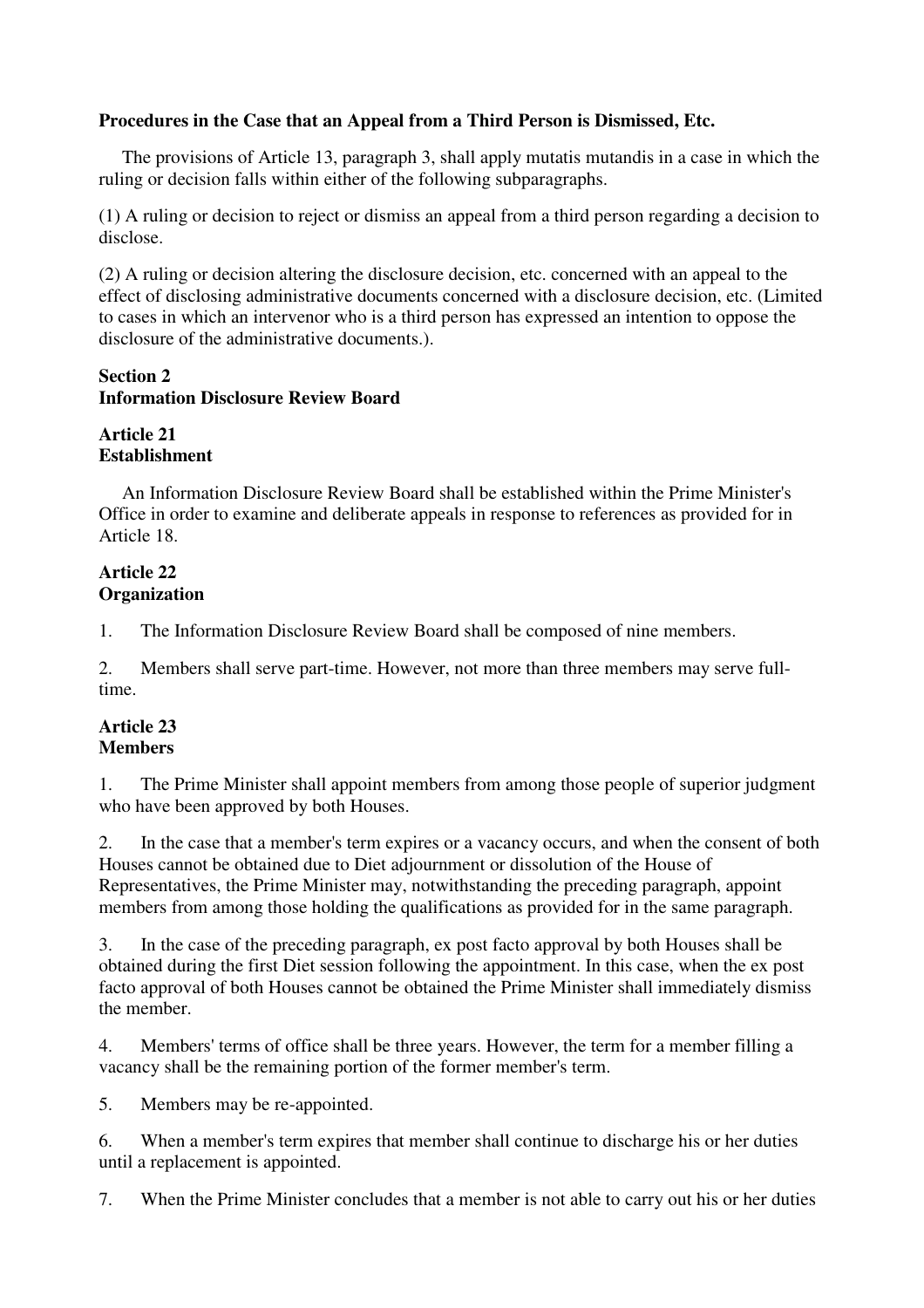#### **Procedures in the Case that an Appeal from a Third Person is Dismissed, Etc.**

 The provisions of Article 13, paragraph 3, shall apply mutatis mutandis in a case in which the ruling or decision falls within either of the following subparagraphs.

(1) A ruling or decision to reject or dismiss an appeal from a third person regarding a decision to disclose.

(2) A ruling or decision altering the disclosure decision, etc. concerned with an appeal to the effect of disclosing administrative documents concerned with a disclosure decision, etc. (Limited to cases in which an intervenor who is a third person has expressed an intention to oppose the disclosure of the administrative documents.).

#### **Section 2 Information Disclosure Review Board**

#### **Article 21 Establishment**

 An Information Disclosure Review Board shall be established within the Prime Minister's Office in order to examine and deliberate appeals in response to references as provided for in Article 18.

#### **Article 22 Organization**

1. The Information Disclosure Review Board shall be composed of nine members.

2. Members shall serve part-time. However, not more than three members may serve fulltime.

# **Article 23 Members**

1. The Prime Minister shall appoint members from among those people of superior judgment who have been approved by both Houses.

2. In the case that a member's term expires or a vacancy occurs, and when the consent of both Houses cannot be obtained due to Diet adjournment or dissolution of the House of Representatives, the Prime Minister may, notwithstanding the preceding paragraph, appoint members from among those holding the qualifications as provided for in the same paragraph.

3. In the case of the preceding paragraph, ex post facto approval by both Houses shall be obtained during the first Diet session following the appointment. In this case, when the ex post facto approval of both Houses cannot be obtained the Prime Minister shall immediately dismiss the member.

4. Members' terms of office shall be three years. However, the term for a member filling a vacancy shall be the remaining portion of the former member's term.

5. Members may be re-appointed.

6. When a member's term expires that member shall continue to discharge his or her duties until a replacement is appointed.

7. When the Prime Minister concludes that a member is not able to carry out his or her duties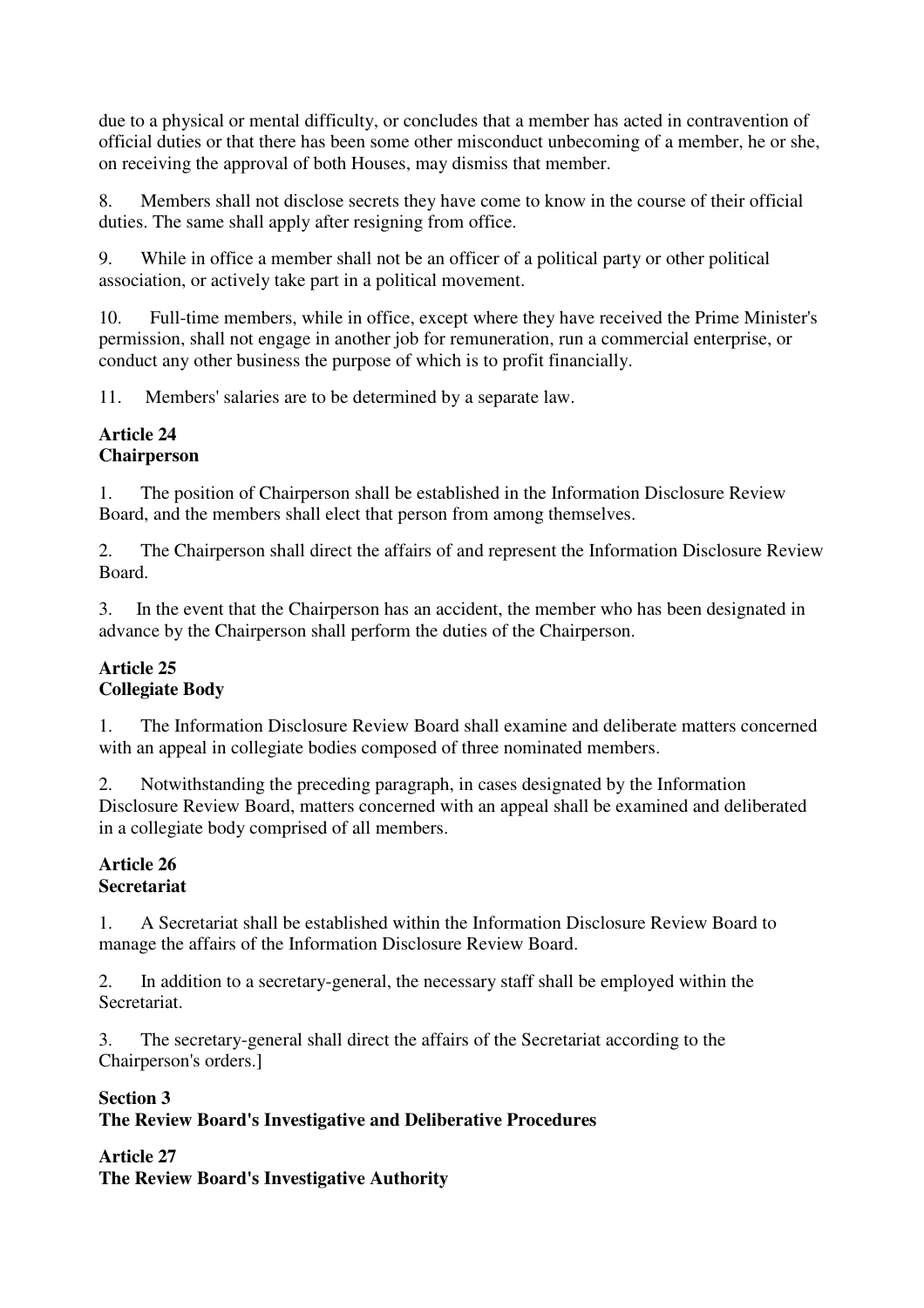due to a physical or mental difficulty, or concludes that a member has acted in contravention of official duties or that there has been some other misconduct unbecoming of a member, he or she, on receiving the approval of both Houses, may dismiss that member.

8. Members shall not disclose secrets they have come to know in the course of their official duties. The same shall apply after resigning from office.

9. While in office a member shall not be an officer of a political party or other political association, or actively take part in a political movement.

10. Full-time members, while in office, except where they have received the Prime Minister's permission, shall not engage in another job for remuneration, run a commercial enterprise, or conduct any other business the purpose of which is to profit financially.

11. Members' salaries are to be determined by a separate law.

#### **Article 24 Chairperson**

1. The position of Chairperson shall be established in the Information Disclosure Review Board, and the members shall elect that person from among themselves.

2. The Chairperson shall direct the affairs of and represent the Information Disclosure Review Board.

3. In the event that the Chairperson has an accident, the member who has been designated in advance by the Chairperson shall perform the duties of the Chairperson.

# **Article 25 Collegiate Body**

1. The Information Disclosure Review Board shall examine and deliberate matters concerned with an appeal in collegiate bodies composed of three nominated members.

2. Notwithstanding the preceding paragraph, in cases designated by the Information Disclosure Review Board, matters concerned with an appeal shall be examined and deliberated in a collegiate body comprised of all members.

#### **Article 26 Secretariat**

1. A Secretariat shall be established within the Information Disclosure Review Board to manage the affairs of the Information Disclosure Review Board.

2. In addition to a secretary-general, the necessary staff shall be employed within the Secretariat.

3. The secretary-general shall direct the affairs of the Secretariat according to the Chairperson's orders.]

# **Section 3**

# **The Review Board's Investigative and Deliberative Procedures**

**Article 27 The Review Board's Investigative Authority**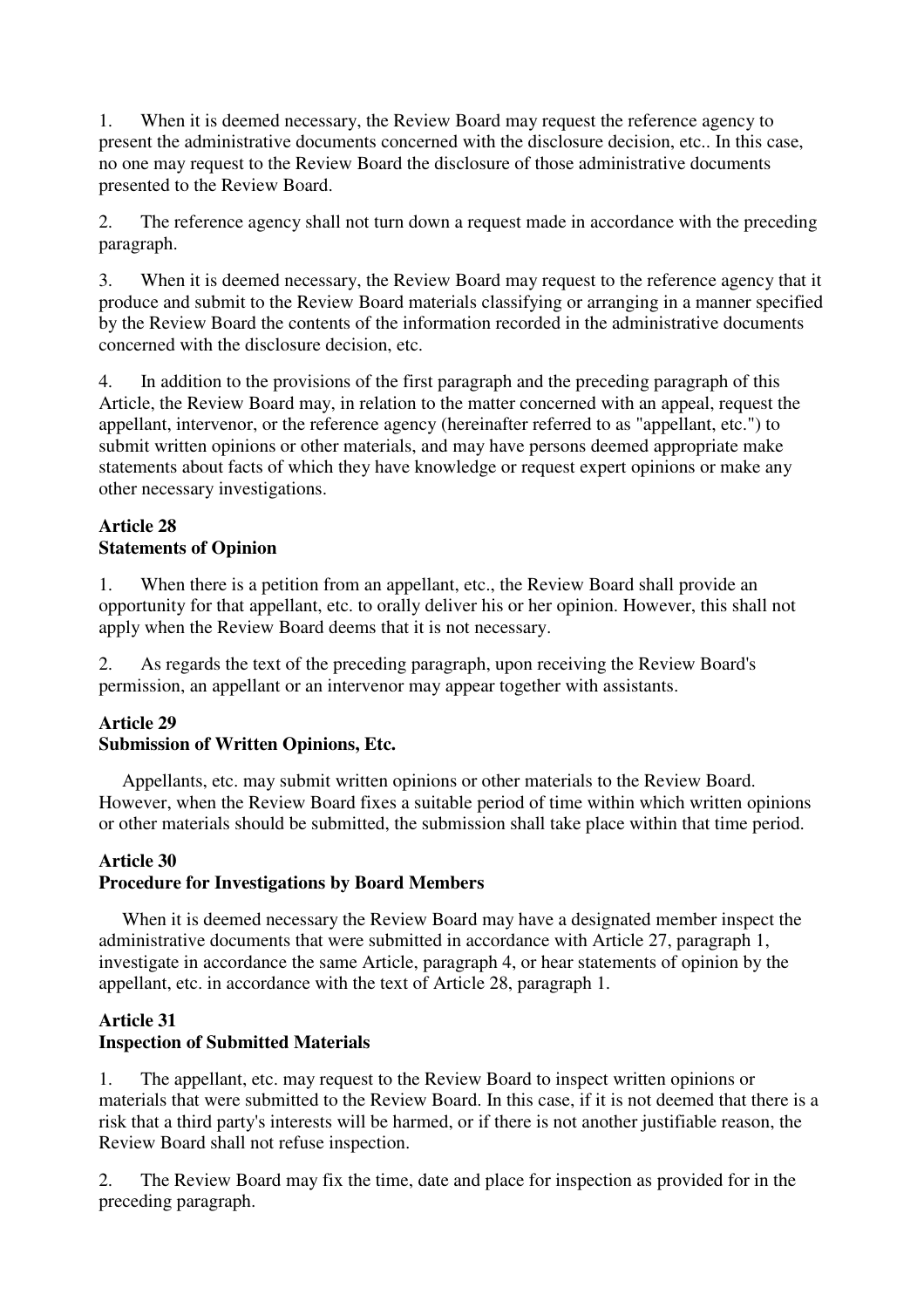1. When it is deemed necessary, the Review Board may request the reference agency to present the administrative documents concerned with the disclosure decision, etc.. In this case, no one may request to the Review Board the disclosure of those administrative documents presented to the Review Board.

2. The reference agency shall not turn down a request made in accordance with the preceding paragraph.

3. When it is deemed necessary, the Review Board may request to the reference agency that it produce and submit to the Review Board materials classifying or arranging in a manner specified by the Review Board the contents of the information recorded in the administrative documents concerned with the disclosure decision, etc.

4. In addition to the provisions of the first paragraph and the preceding paragraph of this Article, the Review Board may, in relation to the matter concerned with an appeal, request the appellant, intervenor, or the reference agency (hereinafter referred to as "appellant, etc.") to submit written opinions or other materials, and may have persons deemed appropriate make statements about facts of which they have knowledge or request expert opinions or make any other necessary investigations.

# **Article 28**

# **Statements of Opinion**

1. When there is a petition from an appellant, etc., the Review Board shall provide an opportunity for that appellant, etc. to orally deliver his or her opinion. However, this shall not apply when the Review Board deems that it is not necessary.

2. As regards the text of the preceding paragraph, upon receiving the Review Board's permission, an appellant or an intervenor may appear together with assistants.

#### **Article 29 Submission of Written Opinions, Etc.**

 Appellants, etc. may submit written opinions or other materials to the Review Board. However, when the Review Board fixes a suitable period of time within which written opinions or other materials should be submitted, the submission shall take place within that time period.

#### **Article 30 Procedure for Investigations by Board Members**

 When it is deemed necessary the Review Board may have a designated member inspect the administrative documents that were submitted in accordance with Article 27, paragraph 1, investigate in accordance the same Article, paragraph 4, or hear statements of opinion by the appellant, etc. in accordance with the text of Article 28, paragraph 1.

# **Article 31 Inspection of Submitted Materials**

1. The appellant, etc. may request to the Review Board to inspect written opinions or materials that were submitted to the Review Board. In this case, if it is not deemed that there is a risk that a third party's interests will be harmed, or if there is not another justifiable reason, the Review Board shall not refuse inspection.

2. The Review Board may fix the time, date and place for inspection as provided for in the preceding paragraph.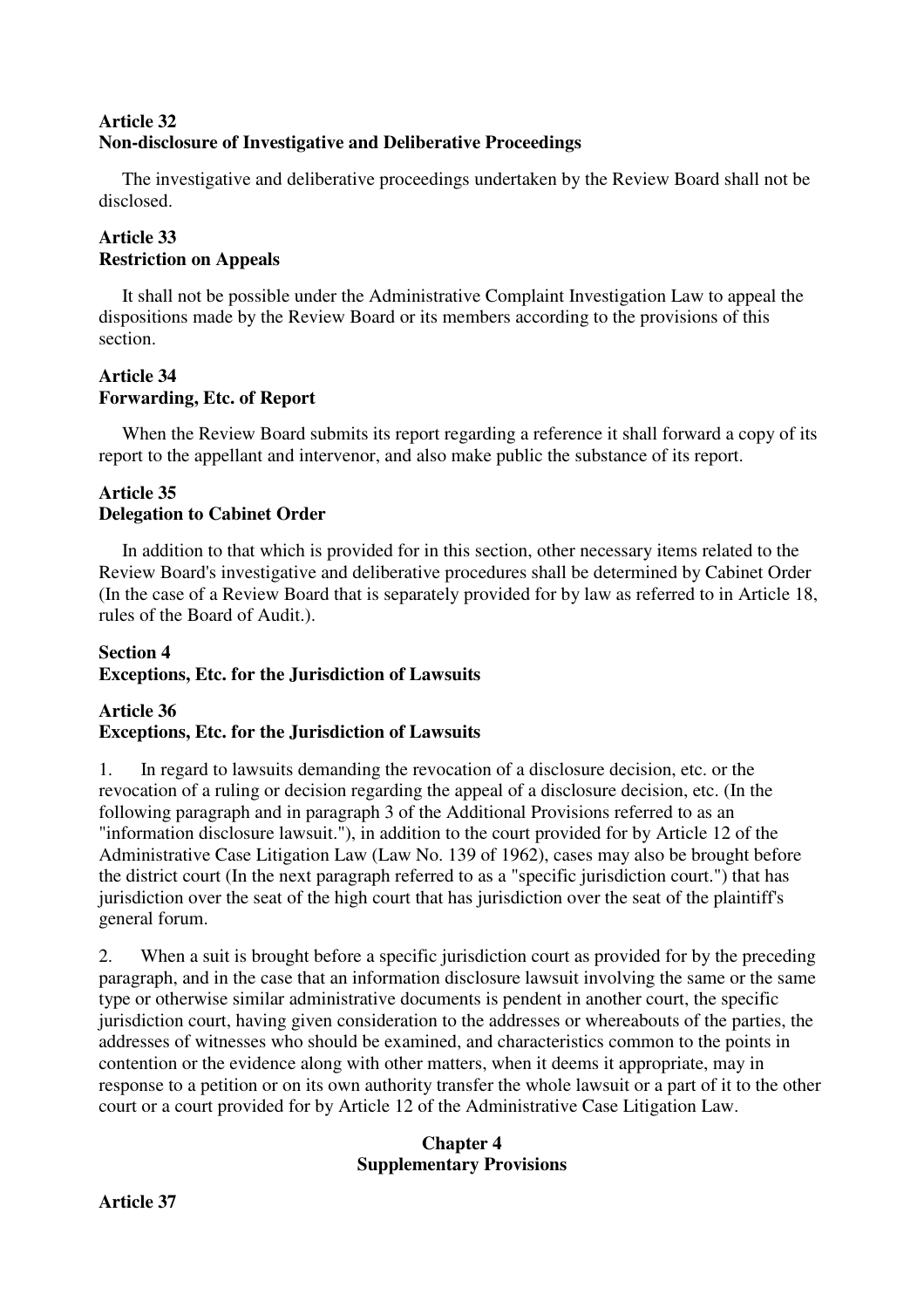# **Article 32 Non-disclosure of Investigative and Deliberative Proceedings**

 The investigative and deliberative proceedings undertaken by the Review Board shall not be disclosed.

#### **Article 33 Restriction on Appeals**

 It shall not be possible under the Administrative Complaint Investigation Law to appeal the dispositions made by the Review Board or its members according to the provisions of this section.

#### **Article 34 Forwarding, Etc. of Report**

When the Review Board submits its report regarding a reference it shall forward a copy of its report to the appellant and intervenor, and also make public the substance of its report.

#### **Article 35 Delegation to Cabinet Order**

 In addition to that which is provided for in this section, other necessary items related to the Review Board's investigative and deliberative procedures shall be determined by Cabinet Order (In the case of a Review Board that is separately provided for by law as referred to in Article 18, rules of the Board of Audit.).

# **Section 4 Exceptions, Etc. for the Jurisdiction of Lawsuits**

#### **Article 36 Exceptions, Etc. for the Jurisdiction of Lawsuits**

1. In regard to lawsuits demanding the revocation of a disclosure decision, etc. or the revocation of a ruling or decision regarding the appeal of a disclosure decision, etc. (In the following paragraph and in paragraph 3 of the Additional Provisions referred to as an "information disclosure lawsuit."), in addition to the court provided for by Article 12 of the Administrative Case Litigation Law (Law No. 139 of 1962), cases may also be brought before the district court (In the next paragraph referred to as a "specific jurisdiction court.") that has jurisdiction over the seat of the high court that has jurisdiction over the seat of the plaintiff's general forum.

2. When a suit is brought before a specific jurisdiction court as provided for by the preceding paragraph, and in the case that an information disclosure lawsuit involving the same or the same type or otherwise similar administrative documents is pendent in another court, the specific jurisdiction court, having given consideration to the addresses or whereabouts of the parties, the addresses of witnesses who should be examined, and characteristics common to the points in contention or the evidence along with other matters, when it deems it appropriate, may in response to a petition or on its own authority transfer the whole lawsuit or a part of it to the other court or a court provided for by Article 12 of the Administrative Case Litigation Law.

#### **Chapter 4 Supplementary Provisions**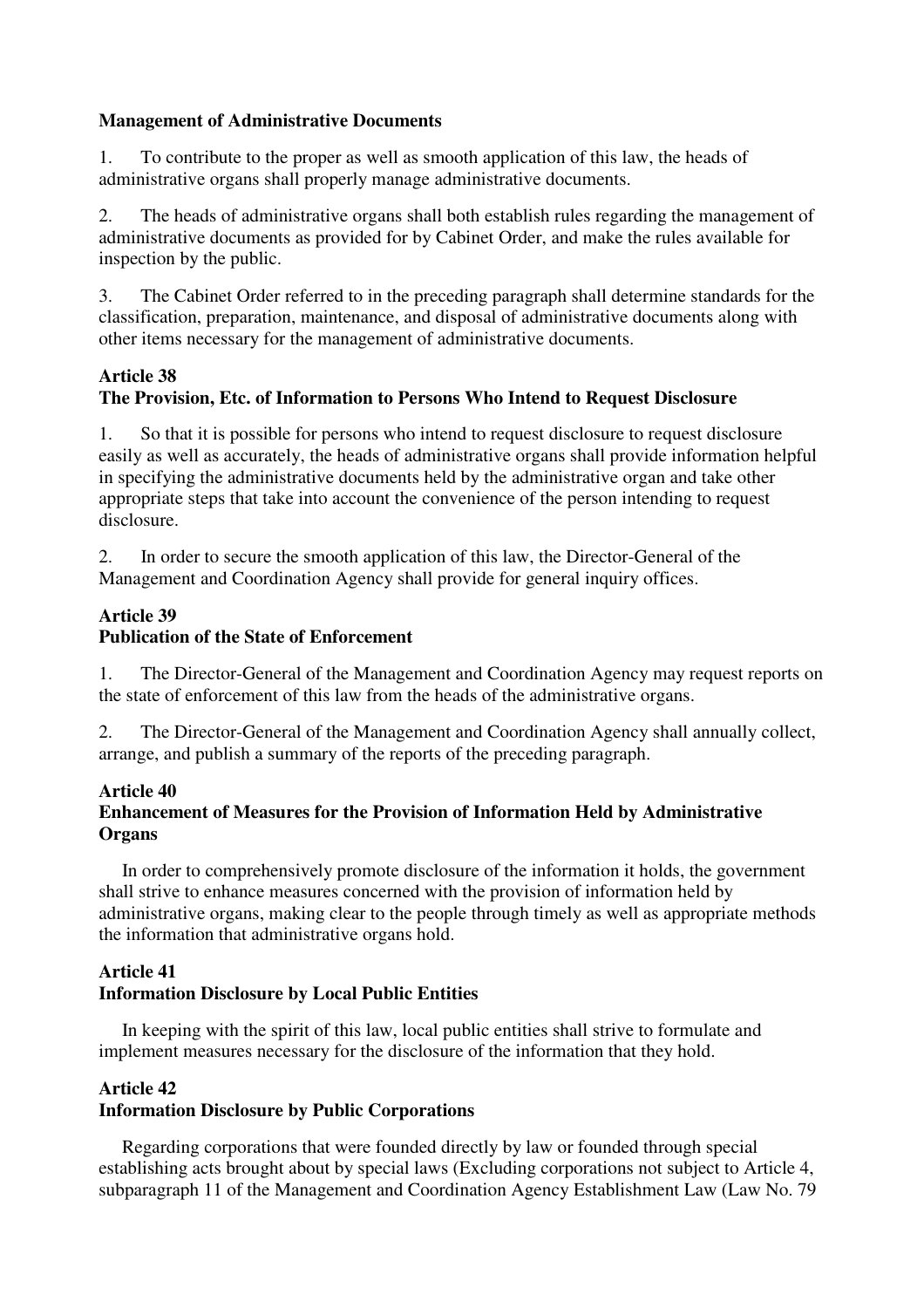#### **Management of Administrative Documents**

1. To contribute to the proper as well as smooth application of this law, the heads of administrative organs shall properly manage administrative documents.

2. The heads of administrative organs shall both establish rules regarding the management of administrative documents as provided for by Cabinet Order, and make the rules available for inspection by the public.

3. The Cabinet Order referred to in the preceding paragraph shall determine standards for the classification, preparation, maintenance, and disposal of administrative documents along with other items necessary for the management of administrative documents.

#### **Article 38**

#### **The Provision, Etc. of Information to Persons Who Intend to Request Disclosure**

1. So that it is possible for persons who intend to request disclosure to request disclosure easily as well as accurately, the heads of administrative organs shall provide information helpful in specifying the administrative documents held by the administrative organ and take other appropriate steps that take into account the convenience of the person intending to request disclosure.

2. In order to secure the smooth application of this law, the Director-General of the Management and Coordination Agency shall provide for general inquiry offices.

#### **Article 39**

#### **Publication of the State of Enforcement**

1. The Director-General of the Management and Coordination Agency may request reports on the state of enforcement of this law from the heads of the administrative organs.

2. The Director-General of the Management and Coordination Agency shall annually collect, arrange, and publish a summary of the reports of the preceding paragraph.

#### **Article 40**

# **Enhancement of Measures for the Provision of Information Held by Administrative Organs**

 In order to comprehensively promote disclosure of the information it holds, the government shall strive to enhance measures concerned with the provision of information held by administrative organs, making clear to the people through timely as well as appropriate methods the information that administrative organs hold.

#### **Article 41 Information Disclosure by Local Public Entities**

 In keeping with the spirit of this law, local public entities shall strive to formulate and implement measures necessary for the disclosure of the information that they hold.

# **Article 42**

#### **Information Disclosure by Public Corporations**

 Regarding corporations that were founded directly by law or founded through special establishing acts brought about by special laws (Excluding corporations not subject to Article 4, subparagraph 11 of the Management and Coordination Agency Establishment Law (Law No. 79